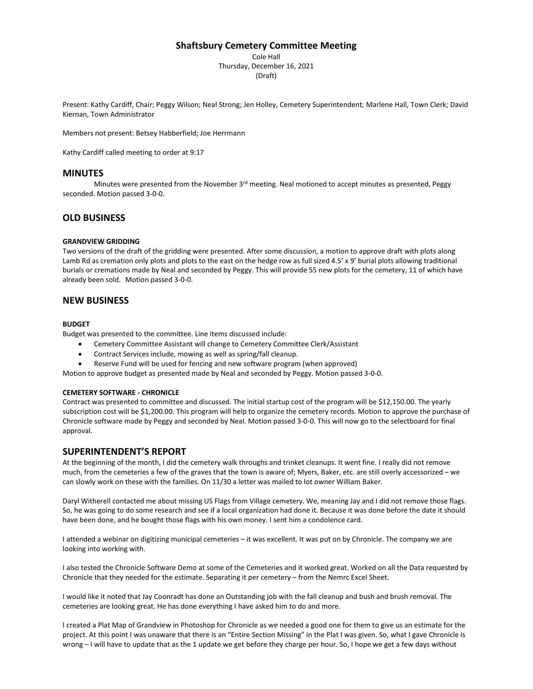# **Shaftsbury Cemetery Committee Meeting**

Cole Hall Thursday, December 16, 2021 (Draft)

Present: Kathy Cardiff, Chair; Peggy Wilson; Neal Strong; Jen Holley, Cemetery Superintendent; Marlene Hall, Town Clerk; David Kiernan, Town Administrator

Members not present: Betsey Habberfield; Joe Herrmann

Kathy Cardiff called meeting to order at 9:17

## **MINUTES**

Minutes were presented from the November 3<sup>rd</sup> meeting. Neal motioned to accept minutes as presented, Peggy seconded. Motion passed 3-0-0.

# **OLD BUSINESS**

#### **GRANDVIEW GRIDDING**

Two versions of the draft of the gridding were presented. After some discussion, a motion to approve draft with plots along Lamb Rd as cremation only plots and plots to the east on the hedge row as full sized 4.5' x 9' burial plots allowing traditional burials or cremations made by Neal and seconded by Peggy. This will provide 55 new plots for the cemetery, 11 of which have already been sold. Motion passed 3-0-0.

### **NEW BUSINESS**

#### **BUDGET**

Budget was presented to the committee. Line items discussed include:

- Cemetery Committee Assistant will change to Cemetery Committee Clerk/Assistant
- Contract Services include, mowing as well as spring/fall cleanup.
- Reserve Fund will be used for fencing and new software program (when approved)

Motion to approve budget as presented made by Neal and seconded by Peggy. Motion passed 3-0-0.

#### **CEMETERY SOFTWARE - CHRONICLE**

Contract was presented to committee and discussed. The initial startup cost of the program will be \$12,150.00. The yearly subscription cost will be \$1,200.00. This program will help to organize the cemetery records. Motion to approve the purchase of Chronicle software made by Peggy and seconded by Neal. Motion passed 3-0-0. This will now go to the selectboard for final approval.

# **SUPERINTENDENT'S REPORT**

At the beginning of the month, I did the cemetery walk throughs and trinket cleanups. It went fine. I really did not remove much, from the cemeteries a few of the graves that the town is aware of; Myers, Baker, etc. are still overly accessorized – we can slowly work on these with the families. On 11/30 a letter was mailed to lot owner William Baker.

Daryl Witherell contacted me about missing US Flags from Village cemetery. We, meaning Jay and I did not remove those flags. So, he was going to do some research and see if a local organization had done it. Because it was done before the date it should have been done, and he bought those flags with his own money. I sent him a condolence card.

I attended a webinar on digitizing municipal cemeteries – it was excellent. It was put on by Chronicle. The company we are looking into working with.

I also tested the Chronicle Software Demo at some of the Cemeteries and it worked great. Worked on all the Data requested by Chronicle that they needed for the estimate. Separating it per cemetery – from the Nemrc Excel Sheet.

I would like it noted that Jay Coonradt has done an Outstanding job with the fall cleanup and bush and brush removal. The cemeteries are looking great. He has done everything I have asked him to do and more.

I created a Plat Map of Grandview in Photoshop for Chronicle as we needed a good one for them to give us an estimate for the project. At this point I was unaware that there is an "Entire Section Missing" in the Plat I was given. So, what I gave Chronicle is wrong – I will have to update that as the 1 update we get before they charge per hour. So, I hope we get a few days without